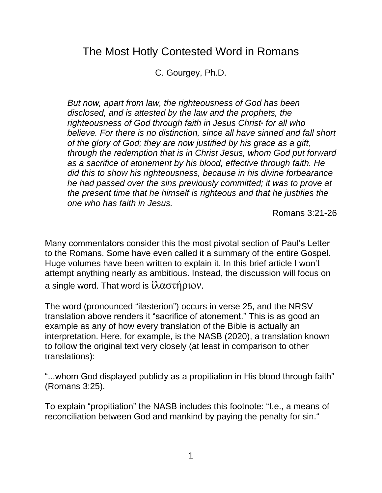## The Most Hotly Contested Word in Romans

C. Gourgey, Ph.D.

*But now, apart from law, the righteousness of God has been disclosed, and is attested by the law and the prophets, the righteousness of God through faith in Jesus Christ<sup>a</sup> for all who believe. For there is no distinction, since all have sinned and fall short of the glory of God; they are now justified by his grace as a gift, through the redemption that is in Christ Jesus, whom God put forward as a sacrifice of atonement by his blood, effective through faith. He did this to show his righteousness, because in his divine forbearance he had passed over the sins previously committed; it was to prove at the present time that he himself is righteous and that he justifies the one who has faith in Jesus.*

Romans 3:21-26

Many commentators consider this the most pivotal section of Paul's Letter to the Romans. Some have even called it a summary of the entire Gospel. Huge volumes have been written to explain it. In this brief article I won't attempt anything nearly as ambitious. Instead, the discussion will focus on a single word. That word is ἱλαστήριον.

The word (pronounced "ilasterion") occurs in verse 25, and the NRSV translation above renders it "sacrifice of atonement." This is as good an example as any of how every translation of the Bible is actually an interpretation. Here, for example, is the NASB (2020), a translation known to follow the original text very closely (at least in comparison to other translations):

"...whom God displayed publicly as a propitiation in His blood through faith" (Romans 3:25).

To explain "propitiation" the NASB includes this footnote: "I.e., a means of reconciliation between God and mankind by paying the penalty for sin."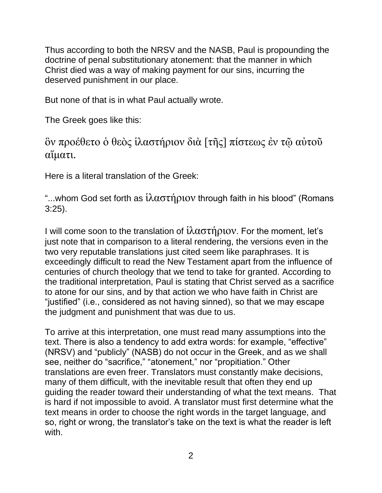Thus according to both the NRSV and the NASB, Paul is propounding the doctrine of penal substitutionary atonement: that the manner in which Christ died was a way of making payment for our sins, incurring the deserved punishment in our place.

But none of that is in what Paul actually wrote.

The Greek goes like this:

ὃν προέθετο ὁ θεὸς ἱλαστήριον διὰ [τῆς] πίστεως ἐν τῷ αὐτοῦ αἵματι.

Here is a literal translation of the Greek:

"...whom God set forth as  $\hat{i} \lambda \alpha \sigma \tau \hat{\eta} \rho \nu \partial \nu$  through faith in his blood" (Romans 3:25).

I will come soon to the translation of  $i\lambda\alpha\sigma\tau\eta\rho\mu$  For the moment, let's just note that in comparison to a literal rendering, the versions even in the two very reputable translations just cited seem like paraphrases. It is exceedingly difficult to read the New Testament apart from the influence of centuries of church theology that we tend to take for granted. According to the traditional interpretation, Paul is stating that Christ served as a sacrifice to atone for our sins, and by that action we who have faith in Christ are "justified" (i.e., considered as not having sinned), so that we may escape the judgment and punishment that was due to us.

To arrive at this interpretation, one must read many assumptions into the text. There is also a tendency to add extra words: for example, "effective" (NRSV) and "publicly" (NASB) do not occur in the Greek, and as we shall see, neither do "sacrifice," "atonement," nor "propitiation." Other translations are even freer. Translators must constantly make decisions, many of them difficult, with the inevitable result that often they end up guiding the reader toward their understanding of what the text means. That is hard if not impossible to avoid. A translator must first determine what the text means in order to choose the right words in the target language, and so, right or wrong, the translator's take on the text is what the reader is left with.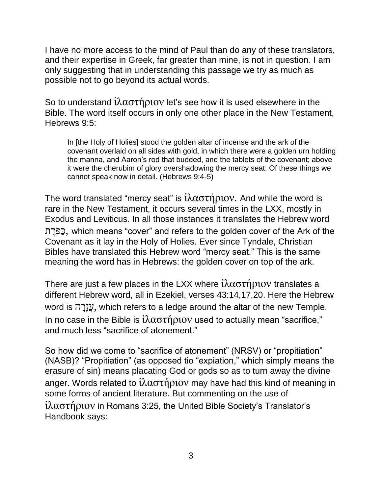I have no more access to the mind of Paul than do any of these translators, and their expertise in Greek, far greater than mine, is not in question. I am only suggesting that in understanding this passage we try as much as possible not to go beyond its actual words.

So to understand  $\hat{i}\lambda\alpha\sigma\tau\hat{\eta}$  provide like how it is used elsewhere in the Bible. The word itself occurs in only one other place in the New Testament, Hebrews 9:5:

In [the Holy of Holies] stood the golden altar of incense and the ark of the covenant overlaid on all sides with gold, in which there were a golden urn holding the manna, and Aaron's rod that budded, and the tablets of the covenant; above it were the cherubim of glory overshadowing the mercy seat. Of these things we cannot speak now in detail. (Hebrews 9:4-5)

The word translated "mercy seat" is  $\hat{i} \lambda \alpha \sigma \hat{\tau}$  now And while the word is rare in the New Testament, it occurs several times in the LXX, mostly in Exodus and Leviticus. In all those instances it translates the Hebrew word ת ֶר ֹּפַּכ, which means "cover" and refers to the golden cover of the Ark of the Covenant as it lay in the Holy of Holies. Ever since Tyndale, Christian Bibles have translated this Hebrew word "mercy seat." This is the same meaning the word has in Hebrews: the golden cover on top of the ark.

There are just a few places in the LXX where  $i\lambda\alpha\sigma\tau\eta\rho\iota o\mathbf{v}$  translates a different Hebrew word, all in Ezekiel, verses 43:14,17,20. Here the Hebrew word is עֲזָרֵה, which refers to a ledge around the altar of the new Temple. In no case in the Bible is  $i\lambda$ αστήριον used to actually mean "sacrifice," and much less "sacrifice of atonement."

So how did we come to "sacrifice of atonement" (NRSV) or "propitiation" (NASB)? "Propitiation" (as opposed tio "expiation," which simply means the erasure of sin) means placating God or gods so as to turn away the divine anger. Words related to ἱλαστήριον may have had this kind of meaning in some forms of ancient literature. But commenting on the use of ἱλαστήριον in Romans 3:25, the United Bible Society's Translator's Handbook says: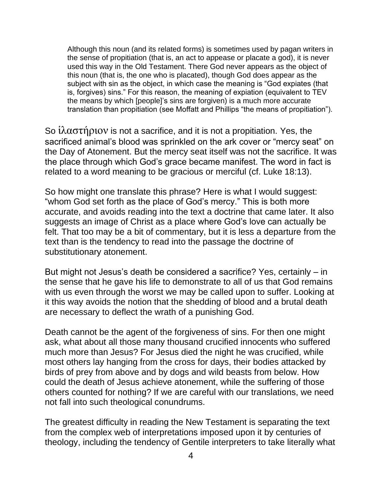Although this noun (and its related forms) is sometimes used by pagan writers in the sense of propitiation (that is, an act to appease or placate a god), it is never used this way in the Old Testament. There God never appears as the object of this noun (that is, the one who is placated), though God does appear as the subject with sin as the object, in which case the meaning is "God expiates (that is, forgives) sins." For this reason, the meaning of expiation (equivalent to TEV the means by which [people]'s sins are forgiven) is a much more accurate translation than propitiation (see Moffatt and Phillips "the means of propitiation").

So ἱλαστήριον is not a sacrifice, and it is not a propitiation. Yes, the sacrificed animal's blood was sprinkled on the ark cover or "mercy seat" on the Day of Atonement. But the mercy seat itself was not the sacrifice. It was the place through which God's grace became manifest. The word in fact is related to a word meaning to be gracious or merciful (cf. Luke 18:13).

So how might one translate this phrase? Here is what I would suggest: "whom God set forth as the place of God's mercy." This is both more accurate, and avoids reading into the text a doctrine that came later. It also suggests an image of Christ as a place where God's love can actually be felt. That too may be a bit of commentary, but it is less a departure from the text than is the tendency to read into the passage the doctrine of substitutionary atonement.

But might not Jesus's death be considered a sacrifice? Yes, certainly – in the sense that he gave his life to demonstrate to all of us that God remains with us even through the worst we may be called upon to suffer. Looking at it this way avoids the notion that the shedding of blood and a brutal death are necessary to deflect the wrath of a punishing God.

Death cannot be the agent of the forgiveness of sins. For then one might ask, what about all those many thousand crucified innocents who suffered much more than Jesus? For Jesus died the night he was crucified, while most others lay hanging from the cross for days, their bodies attacked by birds of prey from above and by dogs and wild beasts from below. How could the death of Jesus achieve atonement, while the suffering of those others counted for nothing? If we are careful with our translations, we need not fall into such theological conundrums.

The greatest difficulty in reading the New Testament is separating the text from the complex web of interpretations imposed upon it by centuries of theology, including the tendency of Gentile interpreters to take literally what